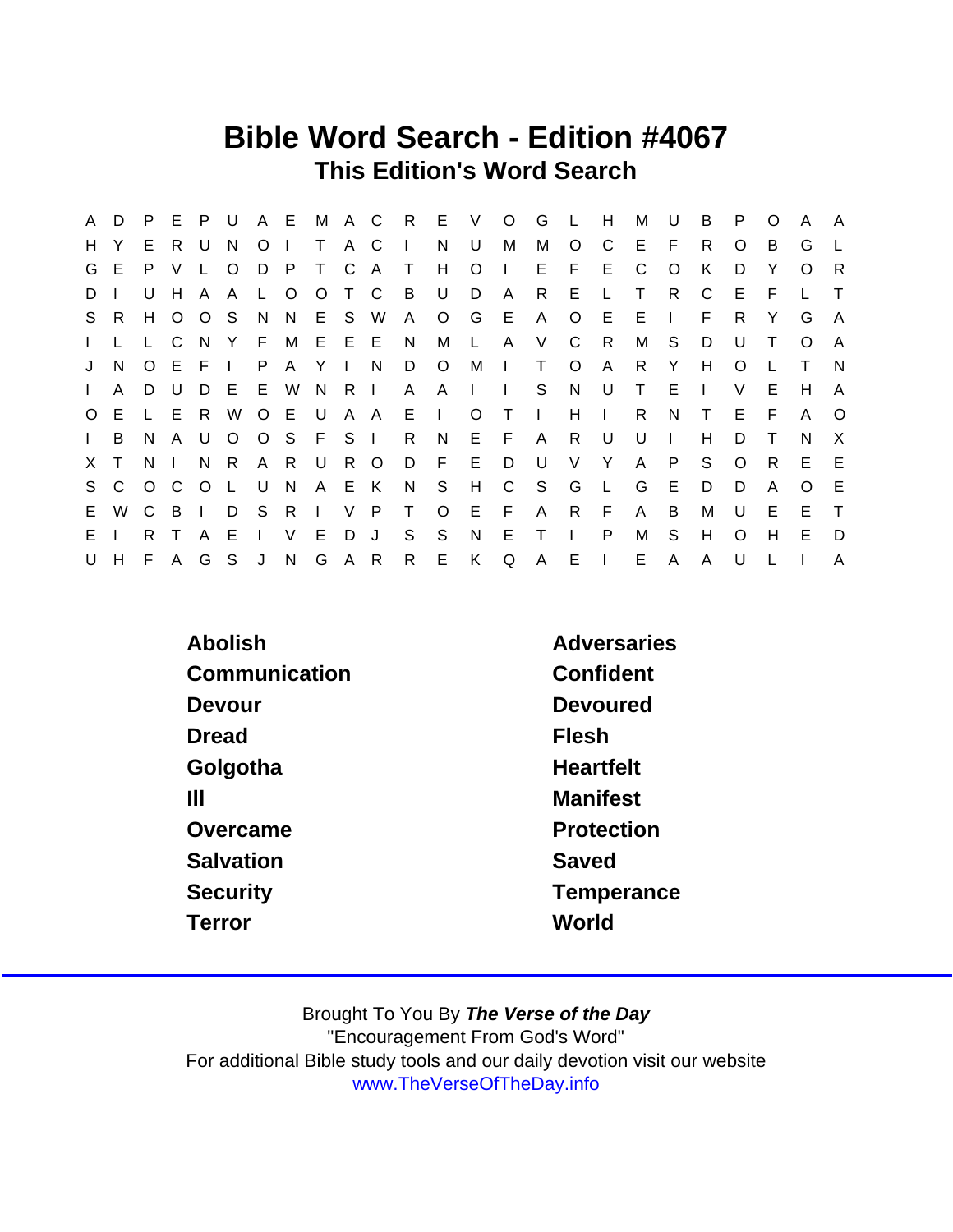## Bible Word Search - Edition #4067 This Edition's Word Search

| A            | D            | P.           | E              | P       | U            |              | A E          |                | M A C  |                | R            | E            | $\vee$       | $\circ$      | G            | $\mathsf{L}$ | Н            | м  | U            | B      | P        | O  | A        | A                         |
|--------------|--------------|--------------|----------------|---------|--------------|--------------|--------------|----------------|--------|----------------|--------------|--------------|--------------|--------------|--------------|--------------|--------------|----|--------------|--------|----------|----|----------|---------------------------|
| H.           |              | E.           | R.             | U       | N.           | O            |              | T.             | A C    |                | $\mathbf{I}$ | N            | U            | М            | M            | O            | C            | Е  | F            | R.     | O        | B  | G        |                           |
| G            | E.           | P.           | V              |         | O            | D            | P            | T.             | C.     | $\overline{A}$ | $\top$       | H            | O            | $\mathbf{I}$ | E.           | F.           | E            | C  | O            | К      | D        | Y  | $\Omega$ | R                         |
| D            |              | U            | H              | A       | A            | $\mathbf{L}$ | $\circ$      | O              |        | T C            | B            | U            | D            | $\mathsf{A}$ | R.           | Е            |              | Т  | R.           | C      | Е        |    |          |                           |
| S.           | R.           | H.           | $\circ$        | $\circ$ | S.           | N.           | N.           |                | E S    | W              | A            | $\circ$      | G            | E.           | A            | $\circ$      | E            | E. | $\mathbf{L}$ | F      | R.       | Y  | G        | A                         |
| $\mathbf{L}$ |              |              | L C            | - N     | Y            | F.           | M            |                | E E E  |                | N            | М            | L            | A            | V            | C            | R.           | М  | S            | D      | U        |    | O        | A                         |
| J            | N            |              | O E F          |         | $\mathbf{L}$ | P.           | $\mathsf{A}$ | Y              | $\Box$ | N              | D            | $\circ$      | M            | $\Box$       | $\top$       | $\circ$      | A            | R. | Y            | H      | O        |    |          | N                         |
| $\mathbf{L}$ | A            | D            | U              | D       | E            | E            | W            | N.             | R.     | $\Box$         | A            | A            | $\mathbf{L}$ | $\mathbf{I}$ | S            | N            | U            | Τ  | Е            |        | V        | Е  | H        | A                         |
| $\circ$      | E.           | L.           | Е              | R       | W            | O E          |              | U              | A      | A              | Е            | $\mathbf{L}$ | O            | $\top$       | $\mathbf{I}$ | H            | $\mathbf{L}$ | R  | N            | $\top$ | E        | F  | A        | $\Omega$                  |
| $\mathbf{L}$ | B            | N            | $\mathsf{A}$   | U       | $\circ$      |              | $O_S$        | F S            |        | $\Box$         | R.           | N.           |              | $E$ $F$      | $\mathsf{A}$ | R            | U            | U  | $\mathbf{L}$ | H      | D        | Τ  | N.       | $\boldsymbol{\mathsf{X}}$ |
|              | X T          | N.           | $\blacksquare$ | N.      | R.           | A.           | R            | U              | R.     | $\circ$        | D            | E            | E            | D            | U            | V            | Y            | A  | P            | S      | $\circ$  | R. | E.       | E                         |
| S            | $\mathsf{C}$ | $O$ C        |                | $\circ$ | L            | U            | N            | A              | E      | K              | N            | S.           | H            | C            | -S           | G            | L            | G  | E.           | D      | D        | A  | O        | E                         |
| E.           | W            | $\mathsf{C}$ | B              | $\perp$ | D            | S            | R.           | $\blacksquare$ | $\vee$ | P              | T.           | $\circ$      | E            | F.           | A            | R            | F            | A  | B            | м      | U        | Е  | E        | $\top$                    |
| E.           |              | R.           |                | A       | Е            |              | V            | E              | D      | J              | S            | S            | N            | E            | Τ            |              | P            | M  | S            | H      | $\Omega$ | H  | E        | D                         |
| U            | H            | F.           | A              |         | G S          | J            | N            | G              | A R    |                | R            | E            | K.           | Q            | A            | Е            | L            | E. | A            | A      | U        |    |          | A                         |

| Abolish       | Adversaries      |
|---------------|------------------|
| Communication | Confident        |
| Devour        | Devoured         |
| <b>Dread</b>  | Flesh            |
| Golgotha      | <b>Heartfelt</b> |
| Ш             | <b>Manifest</b>  |
| Overcame      | Protection       |
| Salvation     | Saved            |
| Security      | Temperance       |
| Terror        | World            |
|               |                  |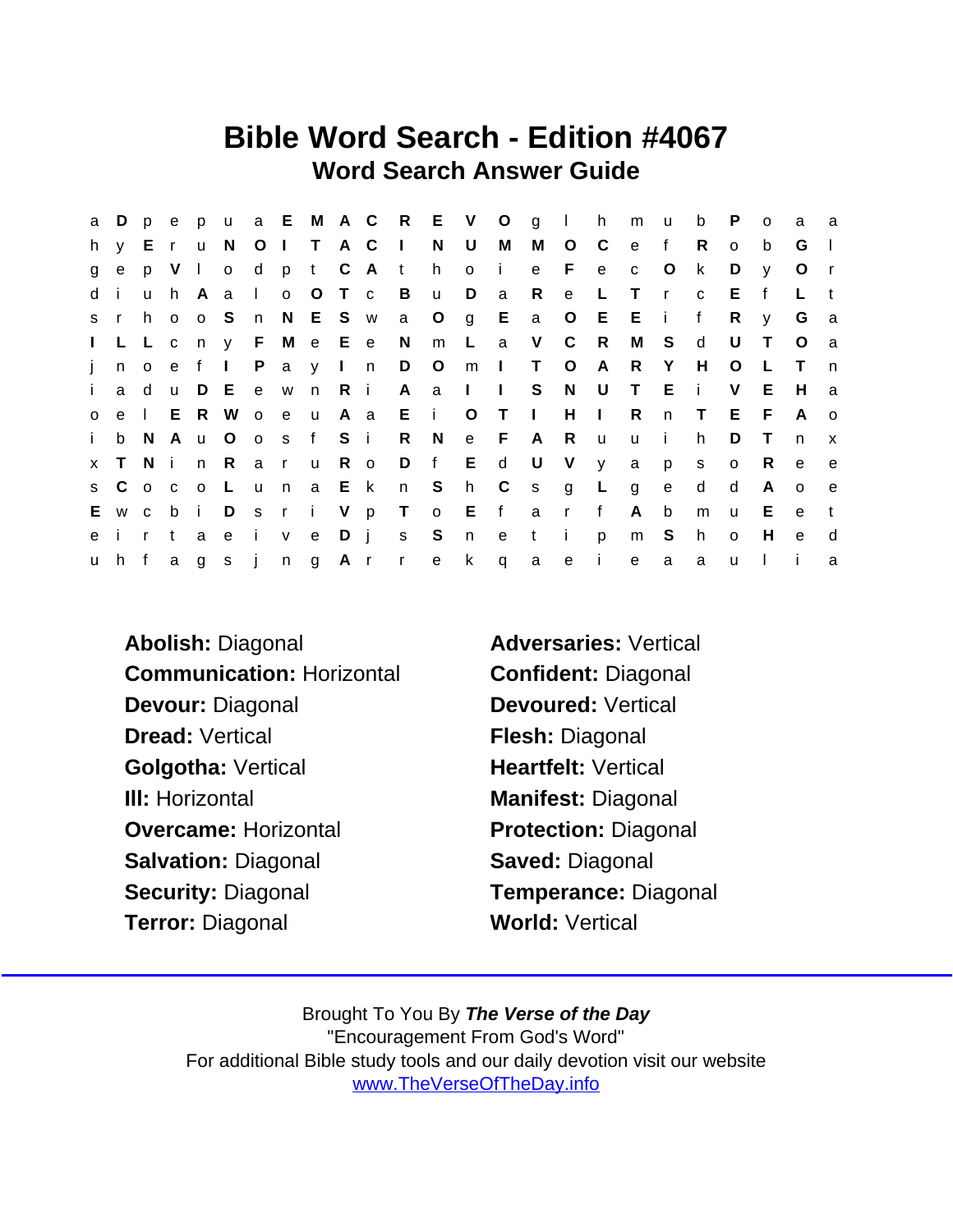## Bible Word Search - Edition #4067 Word Search Answer Guide

|              | a D p        |          |       |       |                       |                |           |         |           |             | e p u a E M A C R E V O g I h |       |                |              |              |             | m            | <b>u</b>     | b            | P.           | $\Omega$     | a            | a              |
|--------------|--------------|----------|-------|-------|-----------------------|----------------|-----------|---------|-----------|-------------|-------------------------------|-------|----------------|--------------|--------------|-------------|--------------|--------------|--------------|--------------|--------------|--------------|----------------|
|              | h y E        |          | r u N |       |                       |                | O I T A C |         |           | $\sim 1$ .  | N                             | U     | M              | M            | $\circ$      | $\mathbb C$ | $\mathbf{e}$ | f            | R.           | $\circ$      | b            | G            | $\Box$         |
| $\mathbf{g}$ | $\mathbf e$  |          | p V I |       | $\circ$               | d d            |           |         | p t C A t |             | h                             | o i   |                |              | e F e        |             | $\mathbf{C}$ | $\circ$      | k            | D            | $\mathsf{v}$ | $\circ$      |                |
| d i          |              | <b>u</b> |       |       | h A a I               |                |           |         |           |             | O O T C B U D                 |       | $\mathbf{a}$   | $\mathsf{R}$ |              | e L         | $\top$       | $\mathsf{r}$ | $\mathbf{C}$ | E            | f            | L            |                |
| $S \cap$     |              | h.       |       | o o S |                       | n              |           | N E S w |           | a O         |                               |       |                | g E a O E    |              |             | $E - i$      |              | f            | R            | $\mathsf{V}$ | G            | a              |
|              |              |          |       |       | I L L c n y F M e E e |                |           |         |           | N           |                               |       |                | m L a V C R  |              |             |              | M S          | d            | U            | $\top$       | $\circ$      | a              |
| $\mathbf{i}$ | $\mathsf{n}$ | $\circ$  | e f   |       | $\sim 1$ .            | $\mathsf{P}$   |           |         |           | a y I n D O |                               | m     | $\blacksquare$ |              | $\circ$      | A,          | R.           | Y            | H.           | $\circ$      |              | $\top$       | n              |
| $\mathbf{i}$ | a d          |          |       | u D E |                       | $-e$           | w n R i   |         |           |             | $A$ a $I$ $I$                 |       |                | S.           | N U          |             | $\top$       | Ei           |              | V            | E.           | H            | a              |
| $\circ$      | e            | $\Box$   | E.    |       | R W                   | $\overline{O}$ |           | e u A a |           | $E$ i       |                               | $O$ T |                | $\sim 1$ .   |              | $H$ $\Box$  | R            | n            | $\mathsf{T}$ | E F          |              | $\mathsf{A}$ | $\overline{O}$ |
| j.           |              | b N      |       | A u O |                       | $\overline{O}$ |           | s f S i |           |             | R N                           | e F   |                | A            | R            | <b>u</b>    | $\mathsf{u}$ | -i -         | h.           | D            | $\top$       | $\mathsf{n}$ | $\mathbf{x}$   |
|              | x T N i n R  |          |       |       |                       | a a            |           |         |           |             | ru Ro D f E d U V y           |       |                |              |              |             | a            | p            | $\mathsf{s}$ | $\circ$      | R.           | e            | $\mathbf{e}$   |
|              | s C o c o L  |          |       |       |                       | $\mathsf{u}$   | n a Ek    |         |           |             | n Sh C s g L                  |       |                |              |              |             | g            | e            | d            | d            | $\mathsf{A}$ | $\Omega$     | $\mathbf{e}$   |
|              | E w c        |          |       | b i   | D                     |                |           |         |           |             | s r i V p T o E f             |       |                | a r f        |              |             | A            | $\mathsf b$  | m            | u            | Е            | e            | $\mathbf{t}$   |
|              | e i r        |          | t.    | a     | e i                   |                |           | v e D j |           |             | s S n                         |       | e t            |              | $\mathbf{i}$ | p           | m S          |              | h.           | $\circ$      | H            | e            | d              |
|              |              |          |       |       | uh fagsj              |                |           |         |           |             | ng Arrek                      |       | $\mathsf{q}$   | $\mathsf{a}$ |              | e i         | e            | a            | a            | $\mathsf{u}$ |              |              | a              |

Abolish: Diagonal **Adversaries:** Vertical Communication: Horizontal Confident: Diagonal Devour: Diagonal Devoured: Vertical Dread: Vertical **Flesh: Diagonal** Golgotha: Vertical Heartfelt: Vertical III: Horizontal **Manifest: Diagonal** Overcame: Horizontal Protection: Diagonal Salvation: Diagonal Saved: Diagonal Security: Diagonal Temperance: Diagonal Terror: Diagonal World: Vertical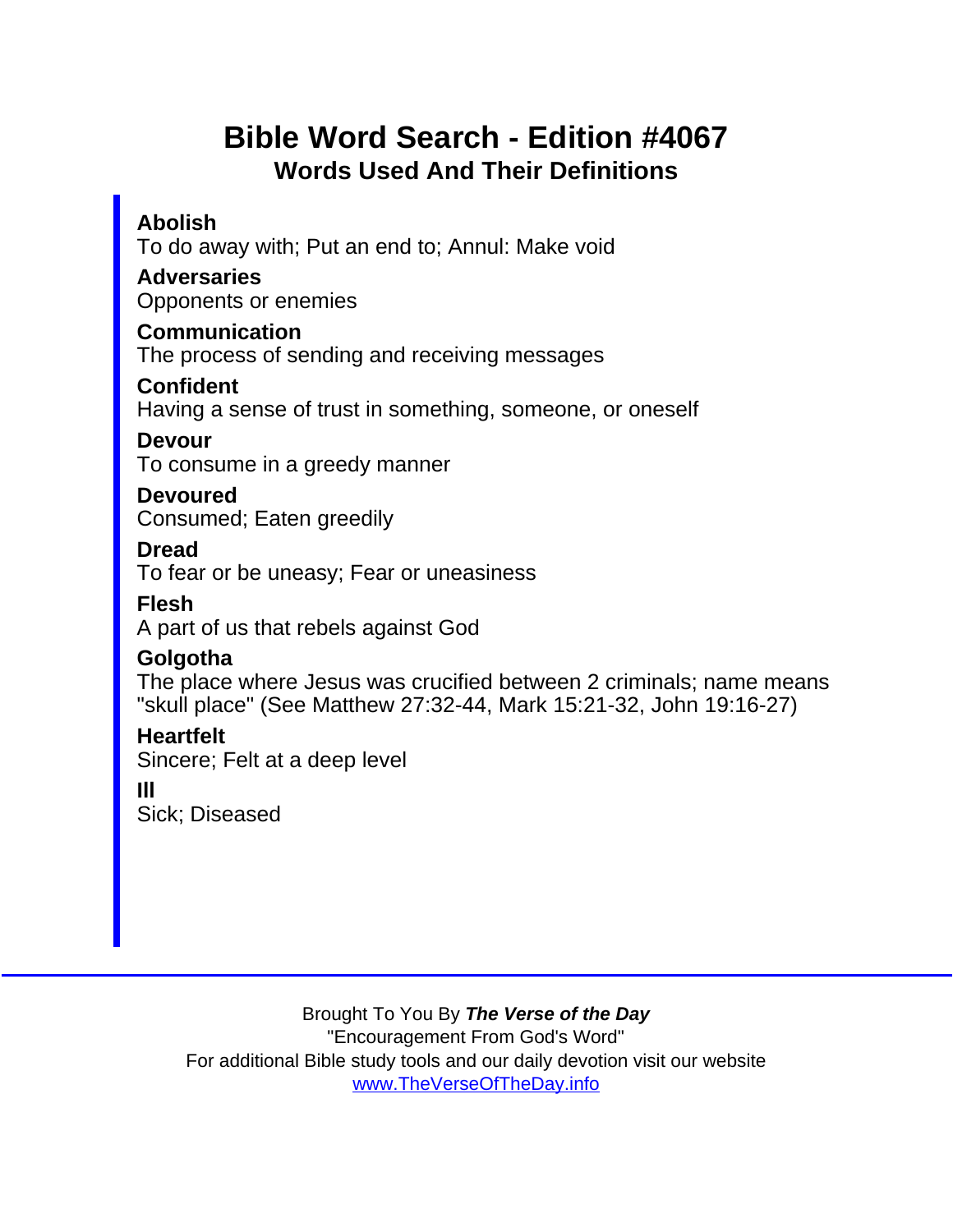## Bible Word Search - Edition #4067 Words Used And Their Definitions

Abolish

To do away with; Put an end to; Annul: Make void

**Adversaries** 

Opponents or enemies

Communication

The process of sending and receiving messages

Confident

Having a sense of trust in something, someone, or oneself

Devour

To consume in a greedy manner

Devoured Consumed; Eaten greedily

Dread

To fear or be uneasy; Fear or uneasiness

Flesh

A part of us that rebels against God

**Golgotha** 

The place where Jesus was crucified between 2 criminals; name means "skull place" (See Matthew 27:32-44, Mark 15:21-32, John 19:16-27)

**Heartfelt** 

Sincere; Felt at a deep level

Ill

Sick; Diseased